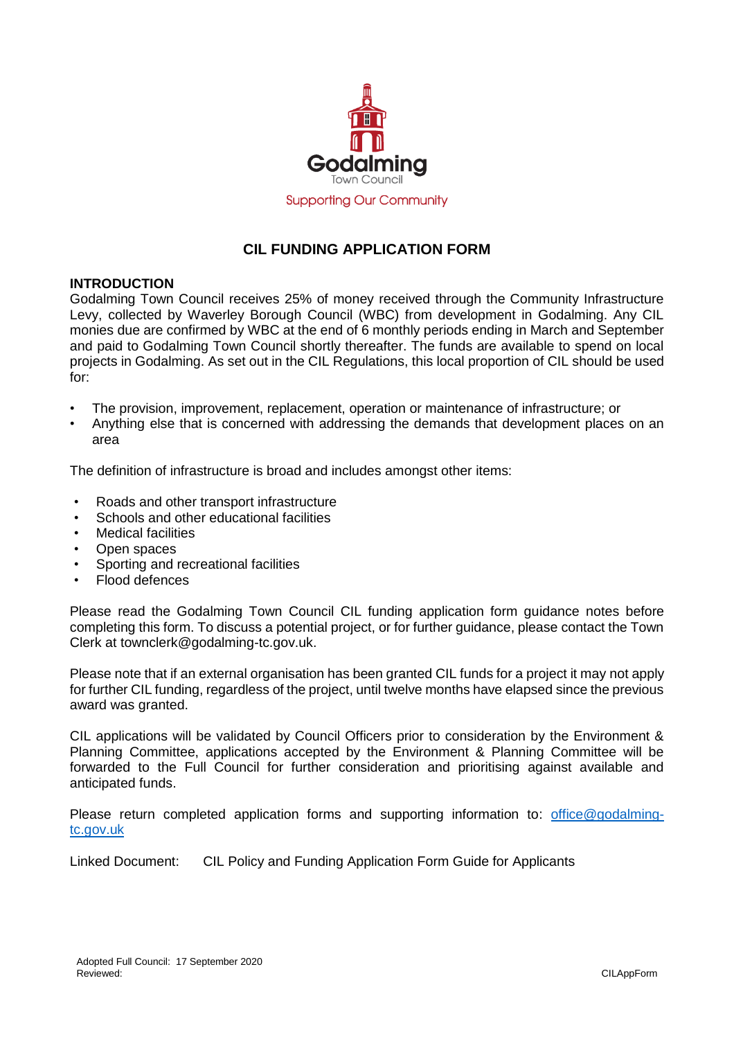

## **CIL FUNDING APPLICATION FORM**

## **INTRODUCTION**

Godalming Town Council receives 25% of money received through the Community Infrastructure Levy, collected by Waverley Borough Council (WBC) from development in Godalming. Any CIL monies due are confirmed by WBC at the end of 6 monthly periods ending in March and September and paid to Godalming Town Council shortly thereafter. The funds are available to spend on local projects in Godalming. As set out in the CIL Regulations, this local proportion of CIL should be used for:

- The provision, improvement, replacement, operation or maintenance of infrastructure; or
- Anything else that is concerned with addressing the demands that development places on an area

The definition of infrastructure is broad and includes amongst other items:

- Roads and other transport infrastructure
- Schools and other educational facilities
- **Medical facilities**
- Open spaces
- Sporting and recreational facilities
- Flood defences

Please read the Godalming Town Council CIL funding application form guidance notes before completing this form. To discuss a potential project, or for further guidance, please contact the Town Clerk at townclerk@godalming-tc.gov.uk.

Please note that if an external organisation has been granted CIL funds for a project it may not apply for further CIL funding, regardless of the project, until twelve months have elapsed since the previous award was granted.

CIL applications will be validated by Council Officers prior to consideration by the Environment & Planning Committee, applications accepted by the Environment & Planning Committee will be forwarded to the Full Council for further consideration and prioritising against available and anticipated funds.

Please return completed application forms and supporting information to: [office@godalming](mailto:office@godalming-tc.gov.uk)[tc.gov.uk](mailto:office@godalming-tc.gov.uk)

Linked Document: CIL Policy and Funding Application Form Guide for Applicants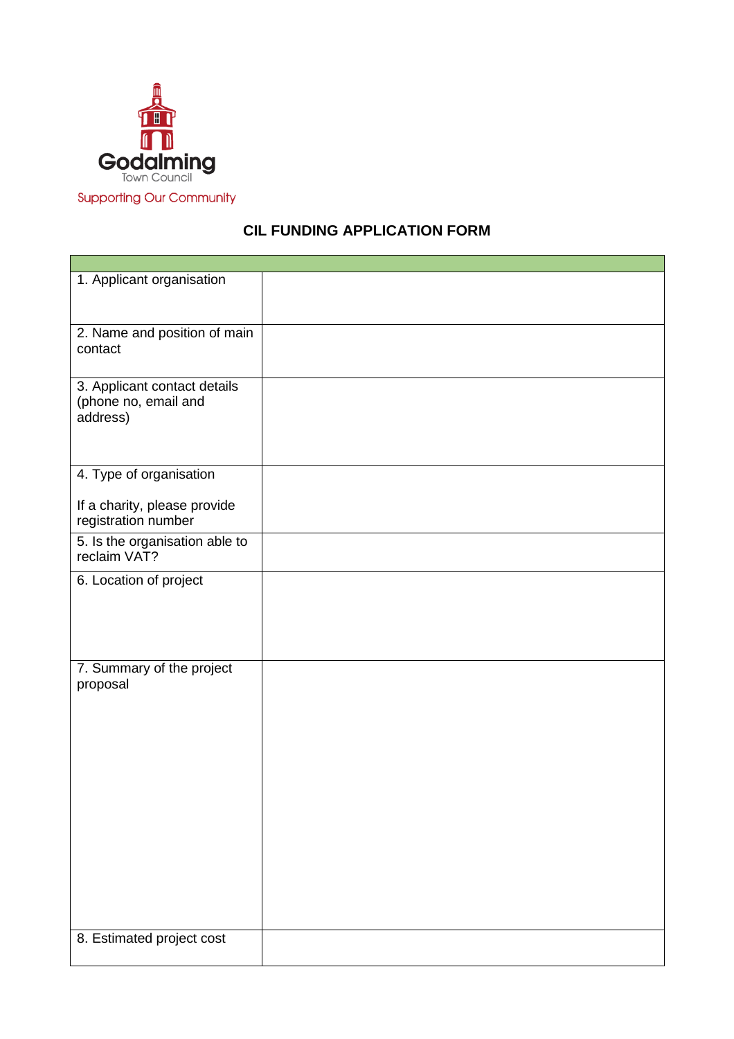

## **Supporting Our Community**

## **CIL FUNDING APPLICATION FORM**

| 1. Applicant organisation                                        |  |
|------------------------------------------------------------------|--|
| 2. Name and position of main<br>contact                          |  |
| 3. Applicant contact details<br>(phone no, email and<br>address) |  |
| 4. Type of organisation                                          |  |
| If a charity, please provide<br>registration number              |  |
| 5. Is the organisation able to<br>reclaim VAT?                   |  |
| 6. Location of project                                           |  |
| 7. Summary of the project<br>proposal                            |  |
| 8. Estimated project cost                                        |  |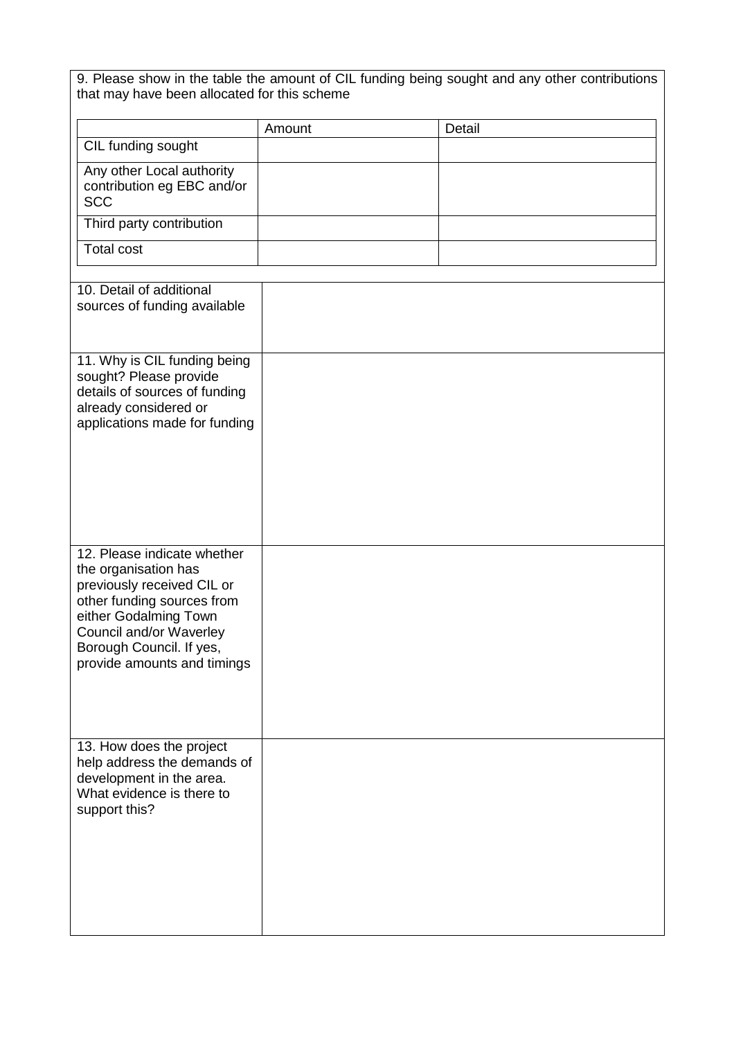| that may have been allocated for this scheme                                                                                                                                                                                   |        | 9. Please show in the table the amount of CIL funding being sought and any other contributions |  |
|--------------------------------------------------------------------------------------------------------------------------------------------------------------------------------------------------------------------------------|--------|------------------------------------------------------------------------------------------------|--|
|                                                                                                                                                                                                                                | Amount | Detail                                                                                         |  |
| CIL funding sought                                                                                                                                                                                                             |        |                                                                                                |  |
| Any other Local authority<br>contribution eg EBC and/or<br><b>SCC</b>                                                                                                                                                          |        |                                                                                                |  |
| Third party contribution                                                                                                                                                                                                       |        |                                                                                                |  |
| <b>Total cost</b>                                                                                                                                                                                                              |        |                                                                                                |  |
| 10. Detail of additional<br>sources of funding available                                                                                                                                                                       |        |                                                                                                |  |
| 11. Why is CIL funding being<br>sought? Please provide<br>details of sources of funding<br>already considered or<br>applications made for funding                                                                              |        |                                                                                                |  |
| 12. Please indicate whether<br>the organisation has<br>previously received CIL or<br>other funding sources from<br>either Godalming Town<br>Council and/or Waverley<br>Borough Council. If yes,<br>provide amounts and timings |        |                                                                                                |  |
| 13. How does the project<br>help address the demands of<br>development in the area.<br>What evidence is there to<br>support this?                                                                                              |        |                                                                                                |  |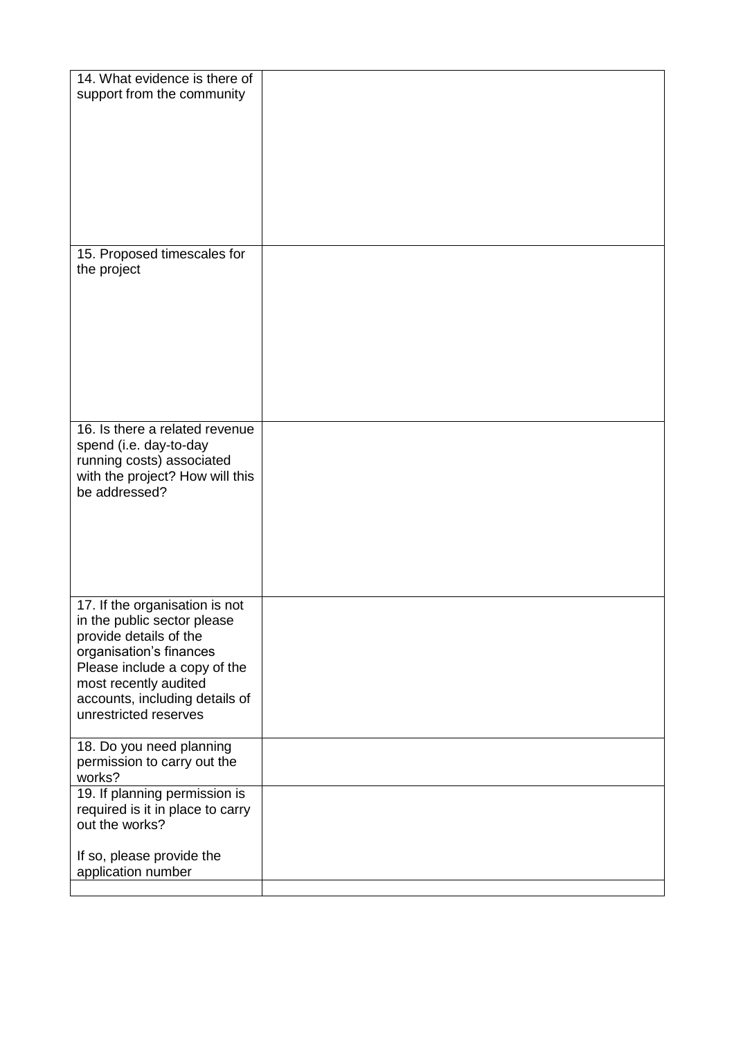| 14. What evidence is there of<br>support from the community                                                                                                                                                                            |  |
|----------------------------------------------------------------------------------------------------------------------------------------------------------------------------------------------------------------------------------------|--|
| 15. Proposed timescales for                                                                                                                                                                                                            |  |
| the project                                                                                                                                                                                                                            |  |
| 16. Is there a related revenue<br>spend (i.e. day-to-day<br>running costs) associated<br>with the project? How will this<br>be addressed?                                                                                              |  |
| 17. If the organisation is not<br>in the public sector please<br>provide details of the<br>organisation's finances<br>Please include a copy of the<br>most recently audited<br>accounts, including details of<br>unrestricted reserves |  |
| 18. Do you need planning<br>permission to carry out the<br>works?                                                                                                                                                                      |  |
| 19. If planning permission is<br>required is it in place to carry<br>out the works?                                                                                                                                                    |  |
| If so, please provide the<br>application number                                                                                                                                                                                        |  |